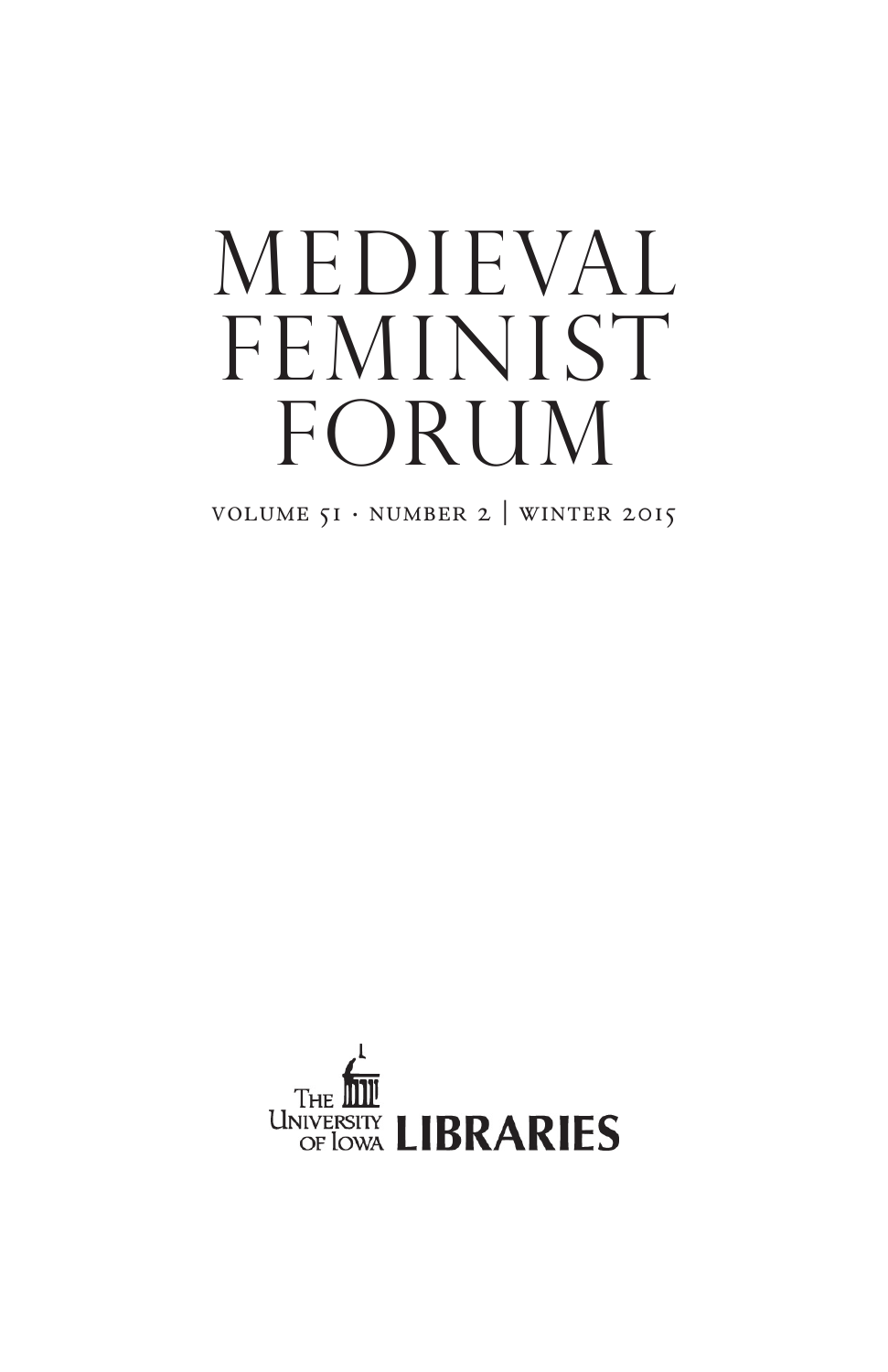# medieval FEMINIST FORUM

VOLUME  $51 \cdot \text{NUMBER 2}$  WINTER 2015

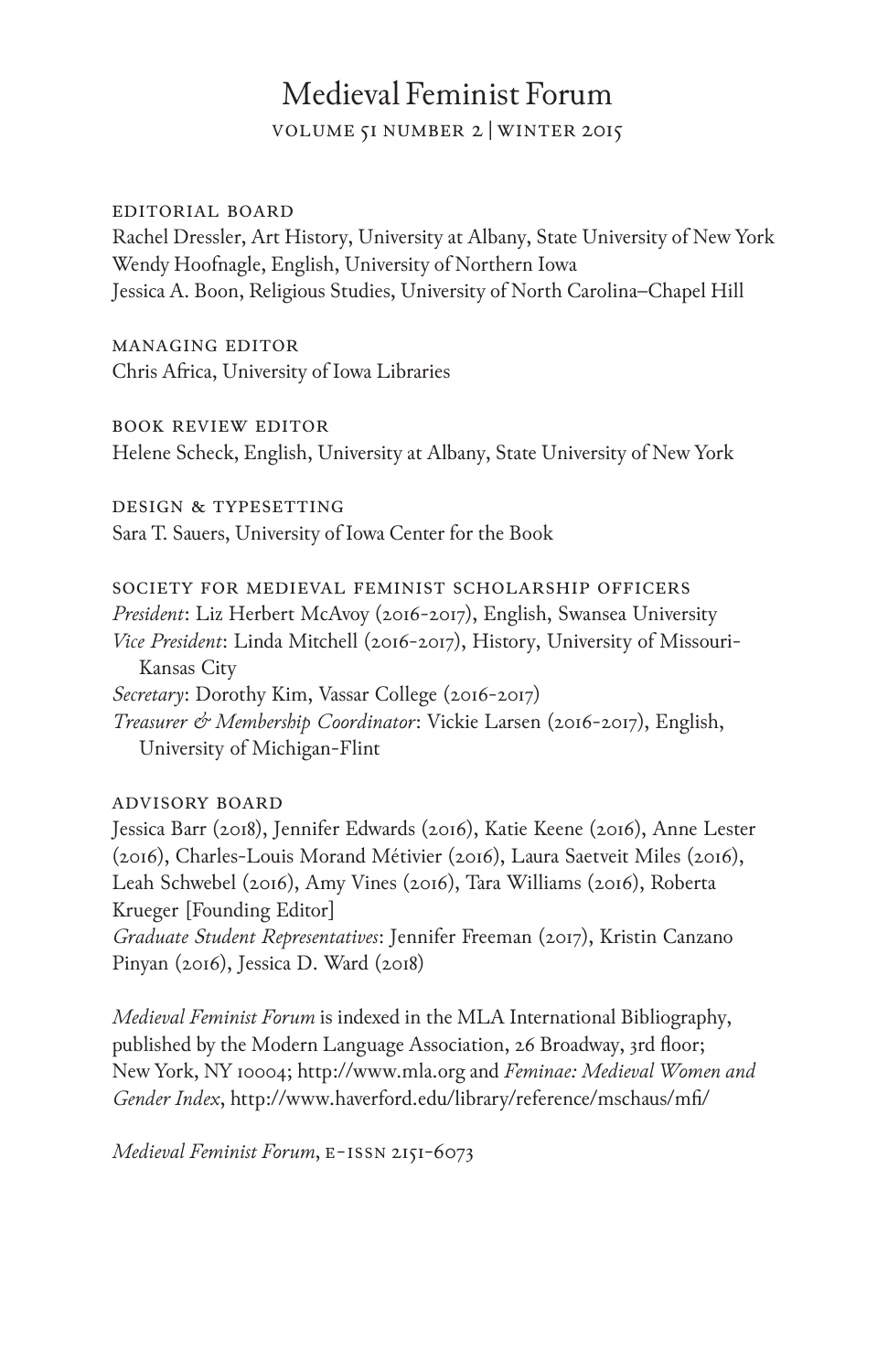## Medieval Feminist Forum

volume 51 number 2 |winter 2015

#### editorial board

Rachel Dressler, Art History, University at Albany, State University of New York Wendy Hoofnagle, English, University of Northern Iowa Jessica A. Boon, Religious Studies, University of North Carolina–Chapel Hill

managing editor Chris Africa, University of Iowa Libraries

book review editor

Helene Scheck, English, University at Albany, State University of New York

design & typesetting Sara T. Sauers, University of Iowa Center for the Book

society for medieval feminist scholarship officers *President*: Liz Herbert McAvoy (2016-2017), English, Swansea University *Vice President*: Linda Mitchell (2016-2017), History, University of Missouri-Kansas City *Secretary*: Dorothy Kim, Vassar College (2016-2017) *Treasurer & Membership Coordinator*: Vickie Larsen (2016-2017), English, University of Michigan-Flint

#### advisory board

Jessica Barr (2018), Jennifer Edwards (2016), Katie Keene (2016), Anne Lester (2016), Charles-Louis Morand Métivier (2016), Laura Saetveit Miles (2016), Leah Schwebel (2016), Amy Vines (2016), Tara Williams (2016), Roberta Krueger [Founding Editor]

*Graduate Student Representatives*: Jennifer Freeman (2017), Kristin Canzano Pinyan (2016), Jessica D. Ward (2018)

*Medieval Feminist Forum* is indexed in the MLA International Bibliography, published by the Modern Language Association, 26 Broadway, 3rd floor; New York, NY 10004; http://www.mla.org and *Feminae: Medieval Women and Gender Index*, http://www.haverford.edu/library/reference/mschaus/mfi/

*Medieval Feminist Forum*, e-issn 2151-6073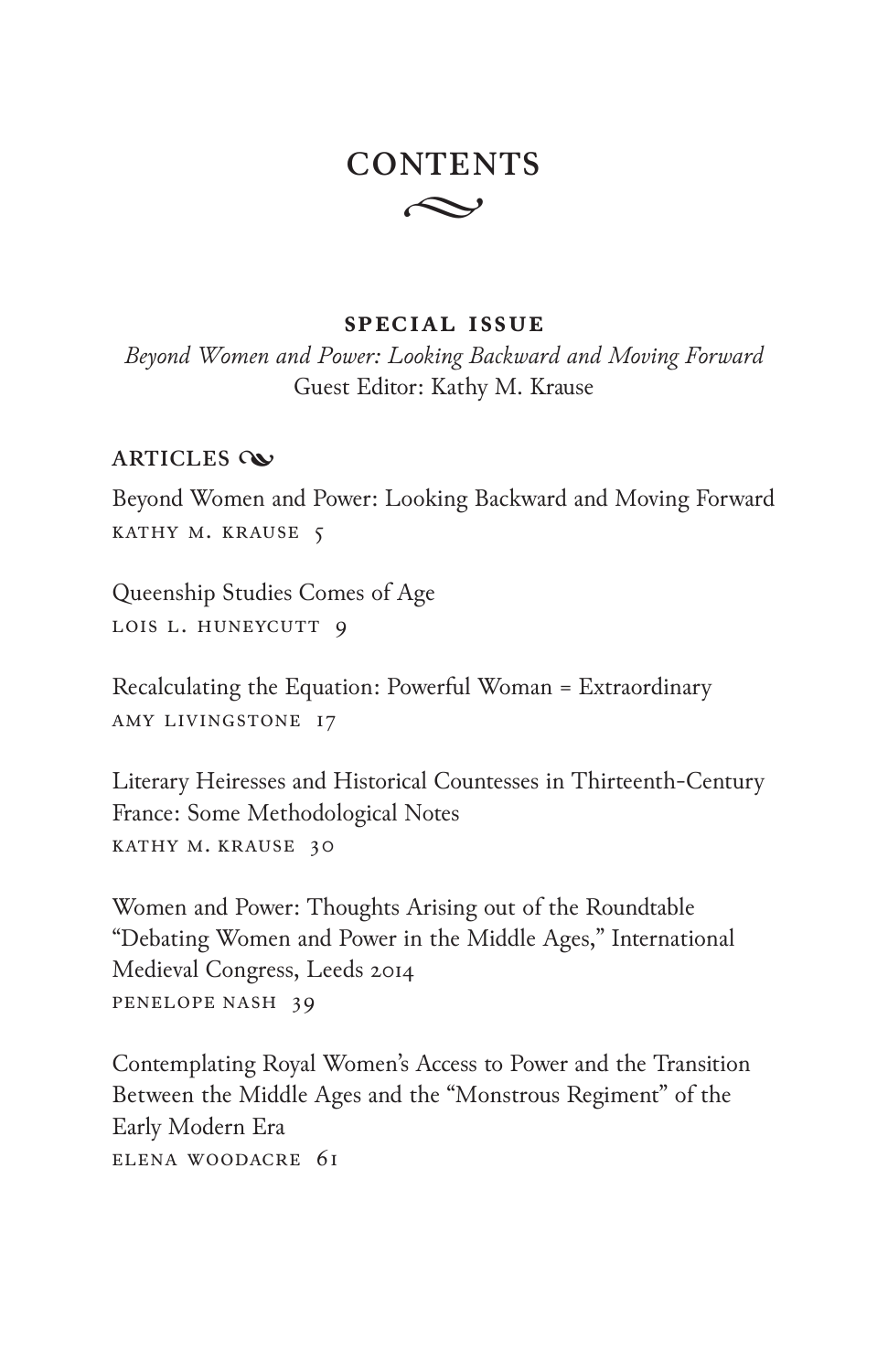# $\sim$ **CONTENTS**

### **special issue**

*Beyond Women and Power: Looking Backward and Moving Forward* Guest Editor: Kathy M. Krause

## **ARTICLES**

Beyond Women and Power: Looking Backward and Moving Forward KATHY M. KRAUSE 5

Queenship Studies Comes of Age LOIS L. HUNEYCUTT 9

Recalculating the Equation: Powerful Woman = Extraordinary Amy Livingstone 17

Literary Heiresses and Historical Countesses in Thirteenth-Century France: Some Methodological Notes Kathy M. Krause 30

Women and Power: Thoughts Arising out of the Roundtable "Debating Women and Power in the Middle Ages," International Medieval Congress, Leeds 2014 PENELOPE NASH 39

Contemplating Royal Women's Access to Power and the Transition Between the Middle Ages and the "Monstrous Regiment" of the Early Modern Era Elena Woodacre 61